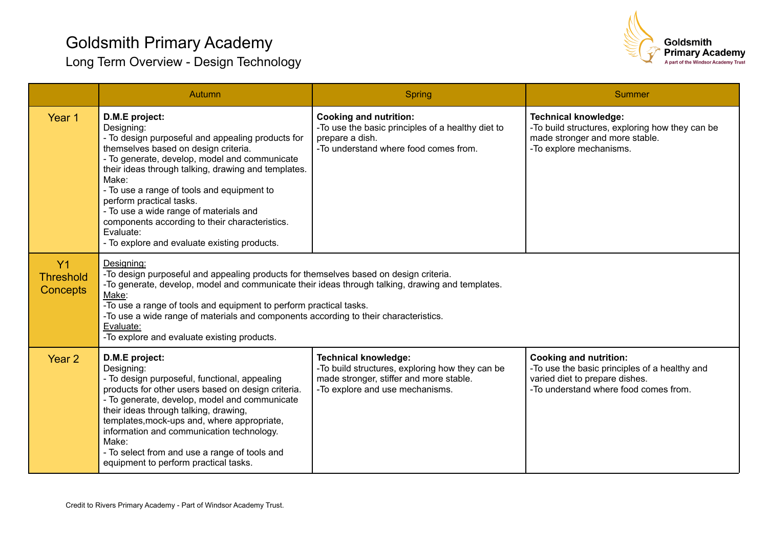

|                                                       | Autumn                                                                                                                                                                                                                                                                                                                                                                                                                                                                        | Spring                                                                                                                                                       | Summer                                                                                                                                                    |
|-------------------------------------------------------|-------------------------------------------------------------------------------------------------------------------------------------------------------------------------------------------------------------------------------------------------------------------------------------------------------------------------------------------------------------------------------------------------------------------------------------------------------------------------------|--------------------------------------------------------------------------------------------------------------------------------------------------------------|-----------------------------------------------------------------------------------------------------------------------------------------------------------|
| Year 1                                                | D.M.E project:<br>Designing:<br>- To design purposeful and appealing products for<br>themselves based on design criteria.<br>- To generate, develop, model and communicate<br>their ideas through talking, drawing and templates.<br>Make:<br>- To use a range of tools and equipment to<br>perform practical tasks.<br>- To use a wide range of materials and<br>components according to their characteristics.<br>Evaluate:<br>- To explore and evaluate existing products. | <b>Cooking and nutrition:</b><br>-To use the basic principles of a healthy diet to<br>prepare a dish.<br>-To understand where food comes from.               | <b>Technical knowledge:</b><br>-To build structures, exploring how they can be<br>made stronger and more stable.<br>-To explore mechanisms.               |
| Y <sub>1</sub><br><b>Threshold</b><br><b>Concepts</b> | Designing:<br>-To design purposeful and appealing products for themselves based on design criteria.<br>-To generate, develop, model and communicate their ideas through talking, drawing and templates.<br>Make:<br>-To use a range of tools and equipment to perform practical tasks.<br>-To use a wide range of materials and components according to their characteristics.<br>Evaluate:<br>-To explore and evaluate existing products.                                    |                                                                                                                                                              |                                                                                                                                                           |
| Year <sub>2</sub>                                     | D.M.E project:<br>Designing:<br>- To design purposeful, functional, appealing<br>products for other users based on design criteria.<br>- To generate, develop, model and communicate<br>their ideas through talking, drawing,<br>templates, mock-ups and, where appropriate,<br>information and communication technology.<br>Make:<br>- To select from and use a range of tools and<br>equipment to perform practical tasks.                                                  | <b>Technical knowledge:</b><br>-To build structures, exploring how they can be<br>made stronger, stiffer and more stable.<br>-To explore and use mechanisms. | <b>Cooking and nutrition:</b><br>-To use the basic principles of a healthy and<br>varied diet to prepare dishes.<br>-To understand where food comes from. |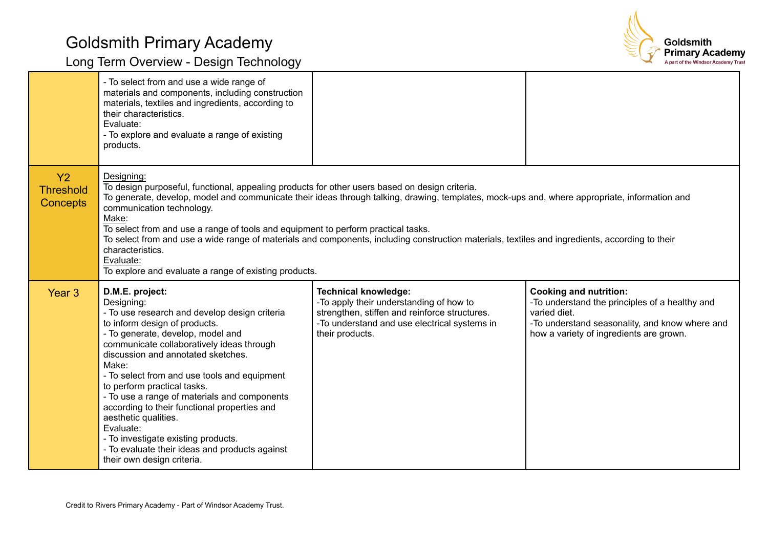

|                                           | - To select from and use a wide range of<br>materials and components, including construction<br>materials, textiles and ingredients, according to<br>their characteristics.<br>Evaluate:<br>- To explore and evaluate a range of existing<br>products.                                                                                                                                                                                                                                                                                                                                                                                |                                                                                                                                                                                            |                                                                                                                                                                                              |
|-------------------------------------------|---------------------------------------------------------------------------------------------------------------------------------------------------------------------------------------------------------------------------------------------------------------------------------------------------------------------------------------------------------------------------------------------------------------------------------------------------------------------------------------------------------------------------------------------------------------------------------------------------------------------------------------|--------------------------------------------------------------------------------------------------------------------------------------------------------------------------------------------|----------------------------------------------------------------------------------------------------------------------------------------------------------------------------------------------|
| Y2<br><b>Threshold</b><br><b>Concepts</b> | Designing:<br>To design purposeful, functional, appealing products for other users based on design criteria.<br>To generate, develop, model and communicate their ideas through talking, drawing, templates, mock-ups and, where appropriate, information and<br>communication technology.<br>Make:<br>To select from and use a range of tools and equipment to perform practical tasks.<br>To select from and use a wide range of materials and components, including construction materials, textiles and ingredients, according to their<br>characteristics.<br>Evaluate:<br>To explore and evaluate a range of existing products. |                                                                                                                                                                                            |                                                                                                                                                                                              |
| Year 3                                    | D.M.E. project:<br>Designing:<br>- To use research and develop design criteria<br>to inform design of products.<br>- To generate, develop, model and<br>communicate collaboratively ideas through<br>discussion and annotated sketches.<br>Make:<br>- To select from and use tools and equipment<br>to perform practical tasks.<br>- To use a range of materials and components<br>according to their functional properties and<br>aesthetic qualities.<br>Evaluate:<br>- To investigate existing products.<br>- To evaluate their ideas and products against<br>their own design criteria.                                           | <b>Technical knowledge:</b><br>-To apply their understanding of how to<br>strengthen, stiffen and reinforce structures.<br>-To understand and use electrical systems in<br>their products. | <b>Cooking and nutrition:</b><br>-To understand the principles of a healthy and<br>varied diet.<br>-To understand seasonality, and know where and<br>how a variety of ingredients are grown. |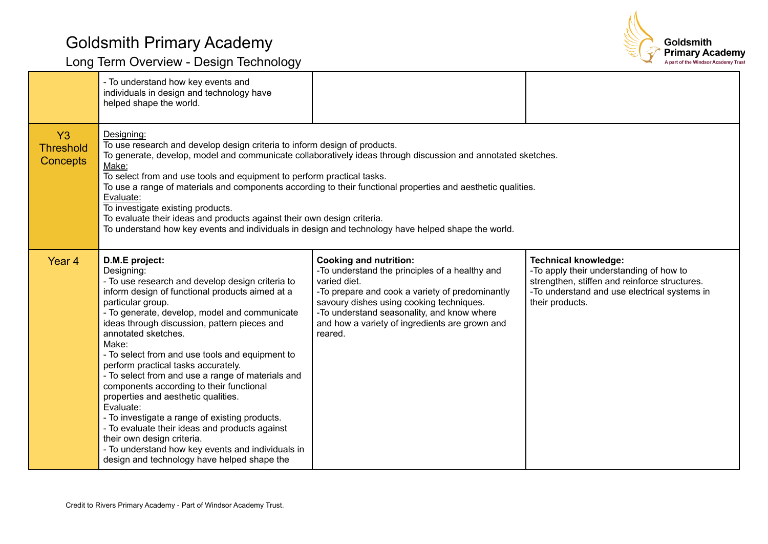

|                                           | - To understand how key events and<br>individuals in design and technology have<br>helped shape the world.                                                                                                                                                                                                                                                                                                                                                                                                                                                                                                                                                                                                                                                                     |                                                                                                                                                                                                                                                                                                           |                                                                                                                                                                                            |
|-------------------------------------------|--------------------------------------------------------------------------------------------------------------------------------------------------------------------------------------------------------------------------------------------------------------------------------------------------------------------------------------------------------------------------------------------------------------------------------------------------------------------------------------------------------------------------------------------------------------------------------------------------------------------------------------------------------------------------------------------------------------------------------------------------------------------------------|-----------------------------------------------------------------------------------------------------------------------------------------------------------------------------------------------------------------------------------------------------------------------------------------------------------|--------------------------------------------------------------------------------------------------------------------------------------------------------------------------------------------|
| Y3<br><b>Threshold</b><br><b>Concepts</b> | Designing:<br>To use research and develop design criteria to inform design of products.<br>To generate, develop, model and communicate collaboratively ideas through discussion and annotated sketches.<br>Make:<br>To select from and use tools and equipment to perform practical tasks.<br>To use a range of materials and components according to their functional properties and aesthetic qualities.<br>Evaluate:<br>To investigate existing products.<br>To evaluate their ideas and products against their own design criteria.<br>To understand how key events and individuals in design and technology have helped shape the world.                                                                                                                                  |                                                                                                                                                                                                                                                                                                           |                                                                                                                                                                                            |
| Year <sub>4</sub>                         | D.M.E project:<br>Designing:<br>- To use research and develop design criteria to<br>inform design of functional products aimed at a<br>particular group.<br>- To generate, develop, model and communicate<br>ideas through discussion, pattern pieces and<br>annotated sketches.<br>Make:<br>- To select from and use tools and equipment to<br>perform practical tasks accurately.<br>- To select from and use a range of materials and<br>components according to their functional<br>properties and aesthetic qualities.<br>Evaluate:<br>- To investigate a range of existing products.<br>- To evaluate their ideas and products against<br>their own design criteria.<br>- To understand how key events and individuals in<br>design and technology have helped shape the | <b>Cooking and nutrition:</b><br>-To understand the principles of a healthy and<br>varied diet.<br>-To prepare and cook a variety of predominantly<br>savoury dishes using cooking techniques.<br>-To understand seasonality, and know where<br>and how a variety of ingredients are grown and<br>reared. | <b>Technical knowledge:</b><br>-To apply their understanding of how to<br>strengthen, stiffen and reinforce structures.<br>-To understand and use electrical systems in<br>their products. |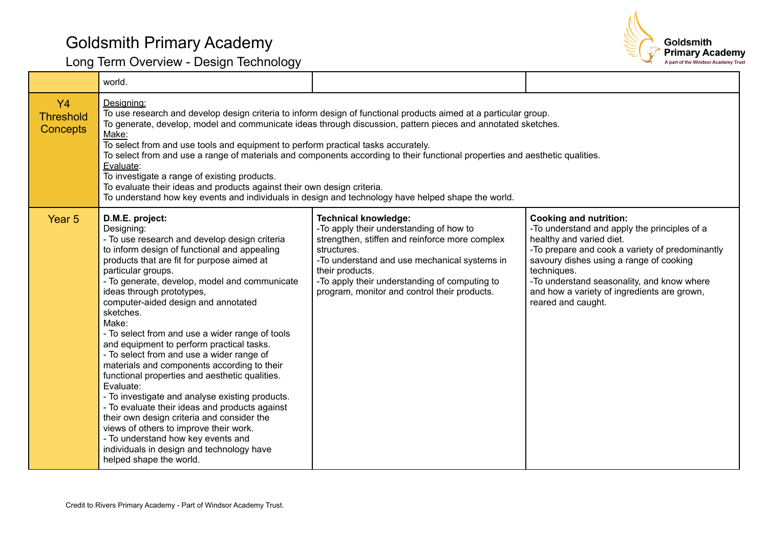

|                                           | world.                                                                                                                                                                                                                                                                                                                                                                                                                                                                                                                                                                                                                                                                                                                                                                                                                                                                                                              |                                                                                                                                                                                                                                                                                                             |                                                                                                                                                                                                                                                                                                                                           |
|-------------------------------------------|---------------------------------------------------------------------------------------------------------------------------------------------------------------------------------------------------------------------------------------------------------------------------------------------------------------------------------------------------------------------------------------------------------------------------------------------------------------------------------------------------------------------------------------------------------------------------------------------------------------------------------------------------------------------------------------------------------------------------------------------------------------------------------------------------------------------------------------------------------------------------------------------------------------------|-------------------------------------------------------------------------------------------------------------------------------------------------------------------------------------------------------------------------------------------------------------------------------------------------------------|-------------------------------------------------------------------------------------------------------------------------------------------------------------------------------------------------------------------------------------------------------------------------------------------------------------------------------------------|
| Y4<br><b>Threshold</b><br><b>Concepts</b> | Designing:<br>To use research and develop design criteria to inform design of functional products aimed at a particular group.<br>To generate, develop, model and communicate ideas through discussion, pattern pieces and annotated sketches.<br>Make:<br>To select from and use tools and equipment to perform practical tasks accurately.<br>To select from and use a range of materials and components according to their functional properties and aesthetic qualities.<br>Evaluate:<br>To investigate a range of existing products.<br>To evaluate their ideas and products against their own design criteria.<br>To understand how key events and individuals in design and technology have helped shape the world.                                                                                                                                                                                          |                                                                                                                                                                                                                                                                                                             |                                                                                                                                                                                                                                                                                                                                           |
| Year <sub>5</sub>                         | D.M.E. project:<br>Designing:<br>- To use research and develop design criteria<br>to inform design of functional and appealing<br>products that are fit for purpose aimed at<br>particular groups.<br>- To generate, develop, model and communicate<br>ideas through prototypes,<br>computer-aided design and annotated<br>sketches.<br>Make:<br>- To select from and use a wider range of tools<br>and equipment to perform practical tasks.<br>- To select from and use a wider range of<br>materials and components according to their<br>functional properties and aesthetic qualities.<br>Evaluate:<br>- To investigate and analyse existing products.<br>- To evaluate their ideas and products against<br>their own design criteria and consider the<br>views of others to improve their work.<br>- To understand how key events and<br>individuals in design and technology have<br>helped shape the world. | <b>Technical knowledge:</b><br>-To apply their understanding of how to<br>strengthen, stiffen and reinforce more complex<br>structures.<br>-To understand and use mechanical systems in<br>their products.<br>-To apply their understanding of computing to<br>program, monitor and control their products. | <b>Cooking and nutrition:</b><br>-To understand and apply the principles of a<br>healthy and varied diet.<br>-To prepare and cook a variety of predominantly<br>savoury dishes using a range of cooking<br>techniques.<br>-To understand seasonality, and know where<br>and how a variety of ingredients are grown,<br>reared and caught. |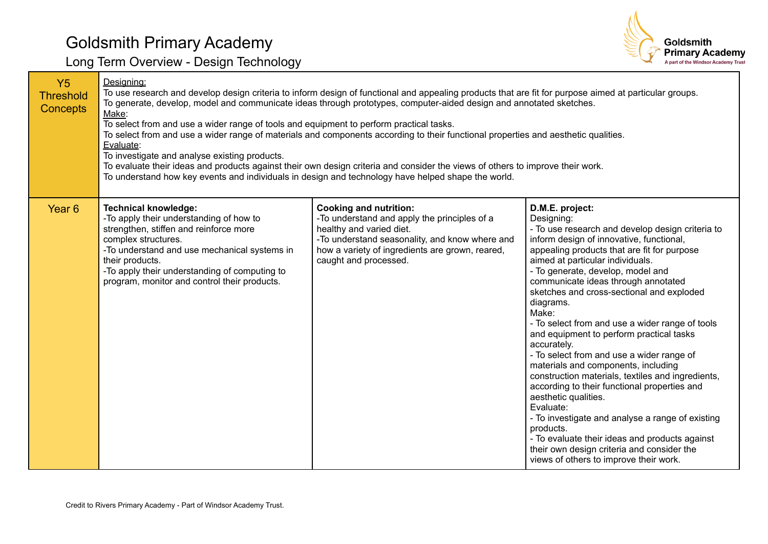

| <b>Y5</b><br><b>Threshold</b><br><b>Concepts</b> | Designing:<br>To use research and develop design criteria to inform design of functional and appealing products that are fit for purpose aimed at particular groups.<br>To generate, develop, model and communicate ideas through prototypes, computer-aided design and annotated sketches.<br>Make:<br>To select from and use a wider range of tools and equipment to perform practical tasks.<br>To select from and use a wider range of materials and components according to their functional properties and aesthetic qualities.<br>Evaluate:<br>To investigate and analyse existing products.<br>To evaluate their ideas and products against their own design criteria and consider the views of others to improve their work.<br>To understand how key events and individuals in design and technology have helped shape the world. |                                                                                                                                                                                                                                         |                                                                                                                                                                                                                                                                                                                                                                                                                                                                                                                                                                                                                                                                                                                                                                                                                                                                                                                        |
|--------------------------------------------------|---------------------------------------------------------------------------------------------------------------------------------------------------------------------------------------------------------------------------------------------------------------------------------------------------------------------------------------------------------------------------------------------------------------------------------------------------------------------------------------------------------------------------------------------------------------------------------------------------------------------------------------------------------------------------------------------------------------------------------------------------------------------------------------------------------------------------------------------|-----------------------------------------------------------------------------------------------------------------------------------------------------------------------------------------------------------------------------------------|------------------------------------------------------------------------------------------------------------------------------------------------------------------------------------------------------------------------------------------------------------------------------------------------------------------------------------------------------------------------------------------------------------------------------------------------------------------------------------------------------------------------------------------------------------------------------------------------------------------------------------------------------------------------------------------------------------------------------------------------------------------------------------------------------------------------------------------------------------------------------------------------------------------------|
| Year <sub>6</sub>                                | <b>Technical knowledge:</b><br>-To apply their understanding of how to<br>strengthen, stiffen and reinforce more<br>complex structures.<br>-To understand and use mechanical systems in<br>their products.<br>-To apply their understanding of computing to<br>program, monitor and control their products.                                                                                                                                                                                                                                                                                                                                                                                                                                                                                                                                 | <b>Cooking and nutrition:</b><br>-To understand and apply the principles of a<br>healthy and varied diet.<br>-To understand seasonality, and know where and<br>how a variety of ingredients are grown, reared,<br>caught and processed. | D.M.E. project:<br>Designing:<br>- To use research and develop design criteria to<br>inform design of innovative, functional,<br>appealing products that are fit for purpose<br>aimed at particular individuals.<br>- To generate, develop, model and<br>communicate ideas through annotated<br>sketches and cross-sectional and exploded<br>diagrams.<br>Make:<br>- To select from and use a wider range of tools<br>and equipment to perform practical tasks<br>accurately.<br>- To select from and use a wider range of<br>materials and components, including<br>construction materials, textiles and ingredients,<br>according to their functional properties and<br>aesthetic qualities.<br>Evaluate:<br>- To investigate and analyse a range of existing<br>products.<br>- To evaluate their ideas and products against<br>their own design criteria and consider the<br>views of others to improve their work. |